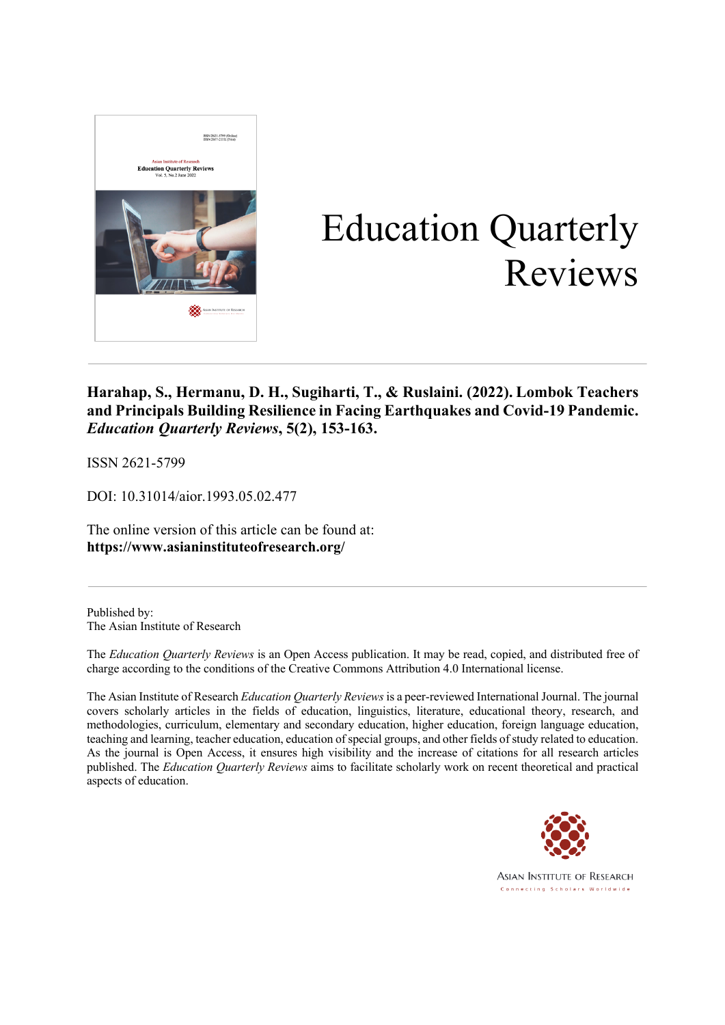

# Education Quarterly Reviews

**Harahap, S., Hermanu, D. H., Sugiharti, T., & Ruslaini. (2022). Lombok Teachers and Principals Building Resilience in Facing Earthquakes and Covid-19 Pandemic.** *Education Quarterly Reviews***, 5(2), 153-163.**

ISSN 2621-5799

DOI: 10.31014/aior.1993.05.02.477

The online version of this article can be found at: **https://www.asianinstituteofresearch.org/**

Published by: The Asian Institute of Research

The *Education Quarterly Reviews* is an Open Access publication. It may be read, copied, and distributed free of charge according to the conditions of the Creative Commons Attribution 4.0 International license.

The Asian Institute of Research *Education Quarterly Reviews* is a peer-reviewed International Journal. The journal covers scholarly articles in the fields of education, linguistics, literature, educational theory, research, and methodologies, curriculum, elementary and secondary education, higher education, foreign language education, teaching and learning, teacher education, education of special groups, and other fields of study related to education. As the journal is Open Access, it ensures high visibility and the increase of citations for all research articles published. The *Education Quarterly Reviews* aims to facilitate scholarly work on recent theoretical and practical aspects of education.



**ASIAN INSTITUTE OF RESEARCH** Connecting Scholars Worldwide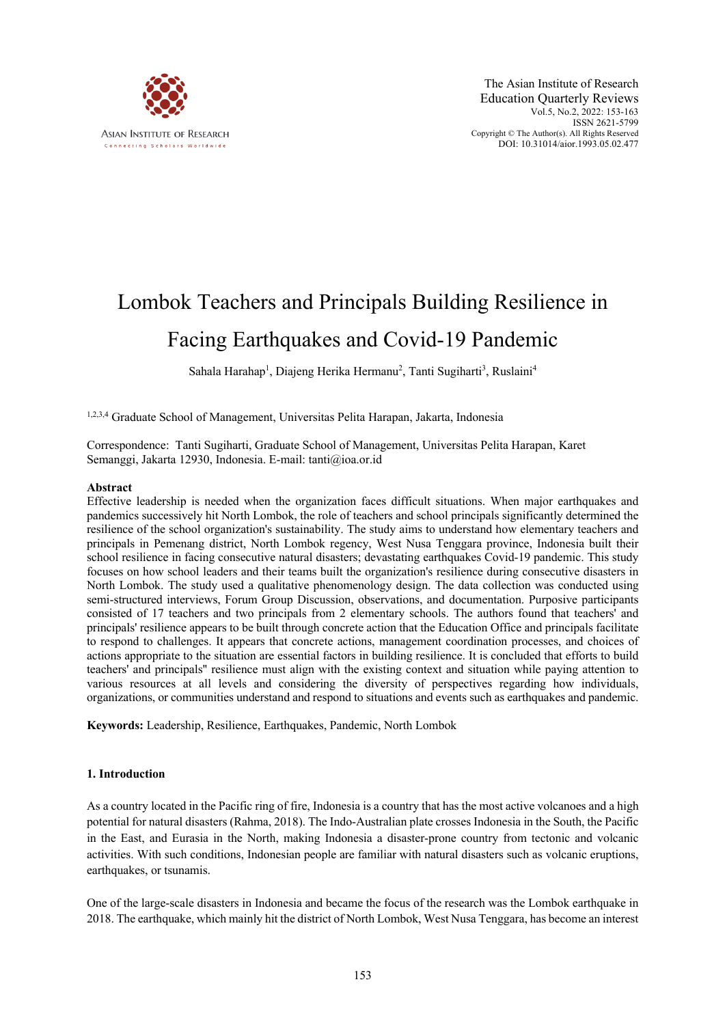

# Lombok Teachers and Principals Building Resilience in Facing Earthquakes and Covid-19 Pandemic

Sahala Harahap<sup>1</sup>, Diajeng Herika Hermanu<sup>2</sup>, Tanti Sugiharti<sup>3</sup>, Ruslaini<sup>4</sup>

1,2,3,4 Graduate School of Management, Universitas Pelita Harapan, Jakarta, Indonesia

Correspondence: Tanti Sugiharti, Graduate School of Management, Universitas Pelita Harapan, Karet Semanggi, Jakarta 12930, Indonesia. E-mail: tanti@ioa.or.id

#### **Abstract**

Effective leadership is needed when the organization faces difficult situations. When major earthquakes and pandemics successively hit North Lombok, the role of teachers and school principals significantly determined the resilience of the school organization's sustainability. The study aims to understand how elementary teachers and principals in Pemenang district, North Lombok regency, West Nusa Tenggara province, Indonesia built their school resilience in facing consecutive natural disasters; devastating earthquakes Covid-19 pandemic. This study focuses on how school leaders and their teams built the organization's resilience during consecutive disasters in North Lombok. The study used a qualitative phenomenology design. The data collection was conducted using semi-structured interviews, Forum Group Discussion, observations, and documentation. Purposive participants consisted of 17 teachers and two principals from 2 elementary schools. The authors found that teachers' and principals' resilience appears to be built through concrete action that the Education Office and principals facilitate to respond to challenges. It appears that concrete actions, management coordination processes, and choices of actions appropriate to the situation are essential factors in building resilience. It is concluded that efforts to build teachers' and principals'' resilience must align with the existing context and situation while paying attention to various resources at all levels and considering the diversity of perspectives regarding how individuals, organizations, or communities understand and respond to situations and events such as earthquakes and pandemic.

**Keywords:** Leadership, Resilience, Earthquakes, Pandemic, North Lombok

#### **1. Introduction**

As a country located in the Pacific ring of fire, Indonesia is a country that has the most active volcanoes and a high potential for natural disasters (Rahma, 2018). The Indo-Australian plate crosses Indonesia in the South, the Pacific in the East, and Eurasia in the North, making Indonesia a disaster-prone country from tectonic and volcanic activities. With such conditions, Indonesian people are familiar with natural disasters such as volcanic eruptions, earthquakes, or tsunamis.

One of the large-scale disasters in Indonesia and became the focus of the research was the Lombok earthquake in 2018. The earthquake, which mainly hit the district of North Lombok, West Nusa Tenggara, has become an interest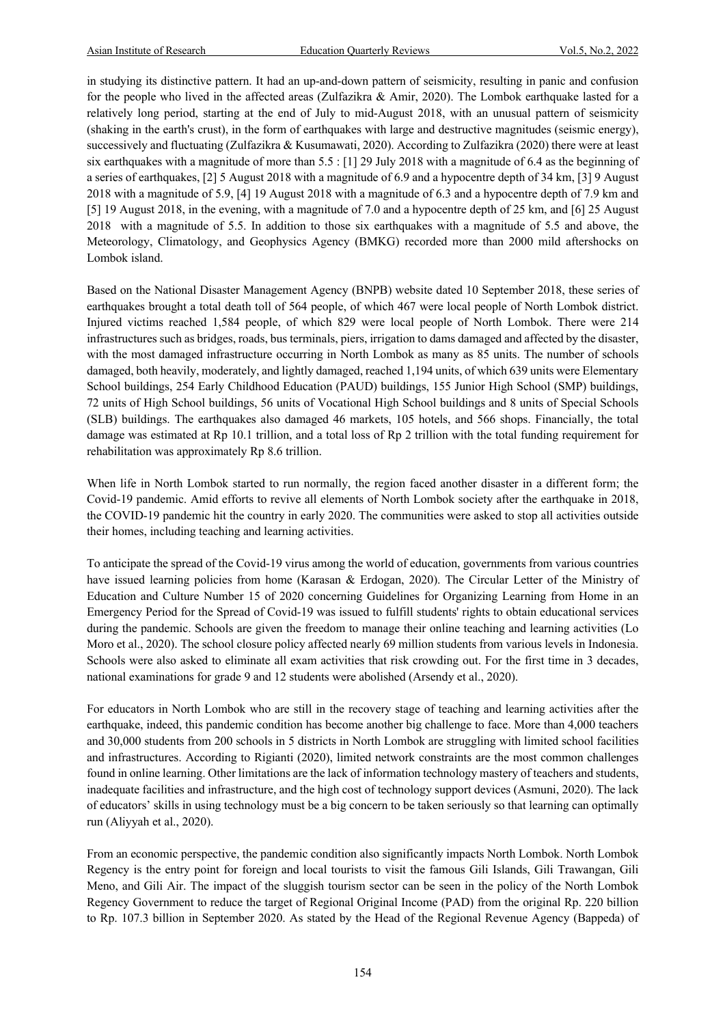in studying its distinctive pattern. It had an up-and-down pattern of seismicity, resulting in panic and confusion for the people who lived in the affected areas (Zulfazikra & Amir, 2020). The Lombok earthquake lasted for a relatively long period, starting at the end of July to mid-August 2018, with an unusual pattern of seismicity (shaking in the earth's crust), in the form of earthquakes with large and destructive magnitudes (seismic energy), successively and fluctuating (Zulfazikra & Kusumawati, 2020). According to Zulfazikra (2020) there were at least six earthquakes with a magnitude of more than 5.5 : [1] 29 July 2018 with a magnitude of 6.4 as the beginning of a series of earthquakes, [2] 5 August 2018 with a magnitude of 6.9 and a hypocentre depth of 34 km, [3] 9 August 2018 with a magnitude of 5.9, [4] 19 August 2018 with a magnitude of 6.3 and a hypocentre depth of 7.9 km and [5] 19 August 2018, in the evening, with a magnitude of 7.0 and a hypocentre depth of 25 km, and [6] 25 August 2018 with a magnitude of 5.5. In addition to those six earthquakes with a magnitude of 5.5 and above, the Meteorology, Climatology, and Geophysics Agency (BMKG) recorded more than 2000 mild aftershocks on Lombok island.

Based on the National Disaster Management Agency (BNPB) website dated 10 September 2018, these series of earthquakes brought a total death toll of 564 people, of which 467 were local people of North Lombok district. Injured victims reached 1,584 people, of which 829 were local people of North Lombok. There were 214 infrastructures such as bridges, roads, bus terminals, piers, irrigation to dams damaged and affected by the disaster, with the most damaged infrastructure occurring in North Lombok as many as 85 units. The number of schools damaged, both heavily, moderately, and lightly damaged, reached 1,194 units, of which 639 units were Elementary School buildings, 254 Early Childhood Education (PAUD) buildings, 155 Junior High School (SMP) buildings, 72 units of High School buildings, 56 units of Vocational High School buildings and 8 units of Special Schools (SLB) buildings. The earthquakes also damaged 46 markets, 105 hotels, and 566 shops. Financially, the total damage was estimated at Rp 10.1 trillion, and a total loss of Rp 2 trillion with the total funding requirement for rehabilitation was approximately Rp 8.6 trillion.

When life in North Lombok started to run normally, the region faced another disaster in a different form; the Covid-19 pandemic. Amid efforts to revive all elements of North Lombok society after the earthquake in 2018, the COVID-19 pandemic hit the country in early 2020. The communities were asked to stop all activities outside their homes, including teaching and learning activities.

To anticipate the spread of the Covid-19 virus among the world of education, governments from various countries have issued learning policies from home (Karasan & Erdogan, 2020). The Circular Letter of the Ministry of Education and Culture Number 15 of 2020 concerning Guidelines for Organizing Learning from Home in an Emergency Period for the Spread of Covid-19 was issued to fulfill students' rights to obtain educational services during the pandemic. Schools are given the freedom to manage their online teaching and learning activities (Lo Moro et al., 2020). The school closure policy affected nearly 69 million students from various levels in Indonesia. Schools were also asked to eliminate all exam activities that risk crowding out. For the first time in 3 decades, national examinations for grade 9 and 12 students were abolished (Arsendy et al., 2020).

For educators in North Lombok who are still in the recovery stage of teaching and learning activities after the earthquake, indeed, this pandemic condition has become another big challenge to face. More than 4,000 teachers and 30,000 students from 200 schools in 5 districts in North Lombok are struggling with limited school facilities and infrastructures. According to Rigianti (2020), limited network constraints are the most common challenges found in online learning. Other limitations are the lack of information technology mastery of teachers and students, inadequate facilities and infrastructure, and the high cost of technology support devices (Asmuni, 2020). The lack of educators' skills in using technology must be a big concern to be taken seriously so that learning can optimally run (Aliyyah et al., 2020).

From an economic perspective, the pandemic condition also significantly impacts North Lombok. North Lombok Regency is the entry point for foreign and local tourists to visit the famous Gili Islands, Gili Trawangan, Gili Meno, and Gili Air. The impact of the sluggish tourism sector can be seen in the policy of the North Lombok Regency Government to reduce the target of Regional Original Income (PAD) from the original Rp. 220 billion to Rp. 107.3 billion in September 2020. As stated by the Head of the Regional Revenue Agency (Bappeda) of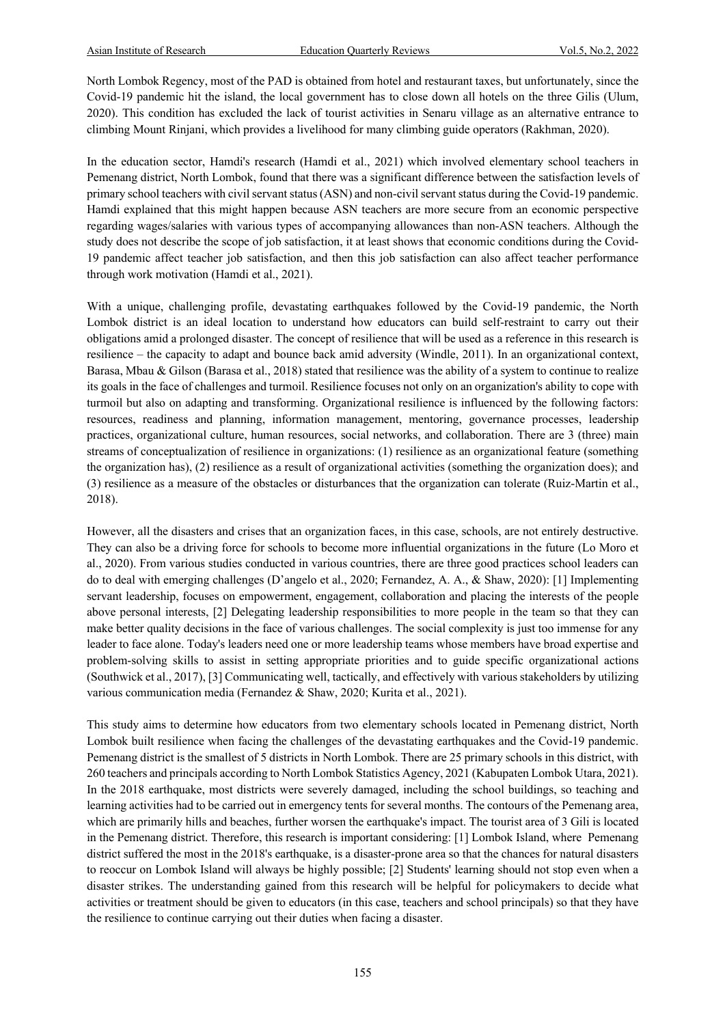North Lombok Regency, most of the PAD is obtained from hotel and restaurant taxes, but unfortunately, since the Covid-19 pandemic hit the island, the local government has to close down all hotels on the three Gilis (Ulum, 2020). This condition has excluded the lack of tourist activities in Senaru village as an alternative entrance to climbing Mount Rinjani, which provides a livelihood for many climbing guide operators (Rakhman, 2020).

In the education sector, Hamdi's research (Hamdi et al., 2021) which involved elementary school teachers in Pemenang district, North Lombok, found that there was a significant difference between the satisfaction levels of primary school teachers with civil servant status (ASN) and non-civil servant status during the Covid-19 pandemic. Hamdi explained that this might happen because ASN teachers are more secure from an economic perspective regarding wages/salaries with various types of accompanying allowances than non-ASN teachers. Although the study does not describe the scope of job satisfaction, it at least shows that economic conditions during the Covid-19 pandemic affect teacher job satisfaction, and then this job satisfaction can also affect teacher performance through work motivation (Hamdi et al., 2021).

With a unique, challenging profile, devastating earthquakes followed by the Covid-19 pandemic, the North Lombok district is an ideal location to understand how educators can build self-restraint to carry out their obligations amid a prolonged disaster. The concept of resilience that will be used as a reference in this research is resilience – the capacity to adapt and bounce back amid adversity (Windle, 2011). In an organizational context, Barasa, Mbau & Gilson (Barasa et al., 2018) stated that resilience was the ability of a system to continue to realize its goals in the face of challenges and turmoil. Resilience focuses not only on an organization's ability to cope with turmoil but also on adapting and transforming. Organizational resilience is influenced by the following factors: resources, readiness and planning, information management, mentoring, governance processes, leadership practices, organizational culture, human resources, social networks, and collaboration. There are 3 (three) main streams of conceptualization of resilience in organizations: (1) resilience as an organizational feature (something the organization has), (2) resilience as a result of organizational activities (something the organization does); and (3) resilience as a measure of the obstacles or disturbances that the organization can tolerate (Ruiz-Martin et al., 2018).

However, all the disasters and crises that an organization faces, in this case, schools, are not entirely destructive. They can also be a driving force for schools to become more influential organizations in the future (Lo Moro et al., 2020). From various studies conducted in various countries, there are three good practices school leaders can do to deal with emerging challenges (D'angelo et al., 2020; Fernandez, A. A., & Shaw, 2020): [1] Implementing servant leadership, focuses on empowerment, engagement, collaboration and placing the interests of the people above personal interests, [2] Delegating leadership responsibilities to more people in the team so that they can make better quality decisions in the face of various challenges. The social complexity is just too immense for any leader to face alone. Today's leaders need one or more leadership teams whose members have broad expertise and problem-solving skills to assist in setting appropriate priorities and to guide specific organizational actions (Southwick et al., 2017), [3] Communicating well, tactically, and effectively with various stakeholders by utilizing various communication media (Fernandez & Shaw, 2020; Kurita et al., 2021).

This study aims to determine how educators from two elementary schools located in Pemenang district, North Lombok built resilience when facing the challenges of the devastating earthquakes and the Covid-19 pandemic. Pemenang district is the smallest of 5 districts in North Lombok. There are 25 primary schools in this district, with 260 teachers and principals according to North Lombok Statistics Agency, 2021 (Kabupaten Lombok Utara, 2021). In the 2018 earthquake, most districts were severely damaged, including the school buildings, so teaching and learning activities had to be carried out in emergency tents for several months. The contours of the Pemenang area, which are primarily hills and beaches, further worsen the earthquake's impact. The tourist area of 3 Gili is located in the Pemenang district. Therefore, this research is important considering: [1] Lombok Island, where Pemenang district suffered the most in the 2018's earthquake, is a disaster-prone area so that the chances for natural disasters to reoccur on Lombok Island will always be highly possible; [2] Students' learning should not stop even when a disaster strikes. The understanding gained from this research will be helpful for policymakers to decide what activities or treatment should be given to educators (in this case, teachers and school principals) so that they have the resilience to continue carrying out their duties when facing a disaster.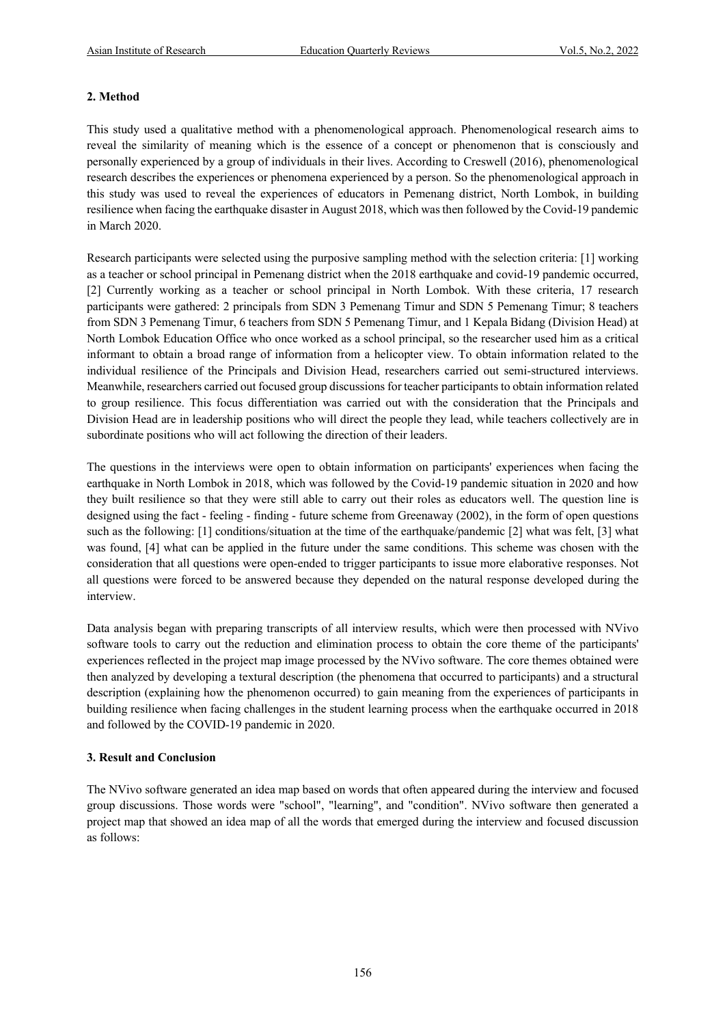# **2. Method**

This study used a qualitative method with a phenomenological approach. Phenomenological research aims to reveal the similarity of meaning which is the essence of a concept or phenomenon that is consciously and personally experienced by a group of individuals in their lives. According to Creswell (2016), phenomenological research describes the experiences or phenomena experienced by a person. So the phenomenological approach in this study was used to reveal the experiences of educators in Pemenang district, North Lombok, in building resilience when facing the earthquake disaster in August 2018, which was then followed by the Covid-19 pandemic in March 2020.

Research participants were selected using the purposive sampling method with the selection criteria: [1] working as a teacher or school principal in Pemenang district when the 2018 earthquake and covid-19 pandemic occurred, [2] Currently working as a teacher or school principal in North Lombok. With these criteria, 17 research participants were gathered: 2 principals from SDN 3 Pemenang Timur and SDN 5 Pemenang Timur; 8 teachers from SDN 3 Pemenang Timur, 6 teachers from SDN 5 Pemenang Timur, and 1 Kepala Bidang (Division Head) at North Lombok Education Office who once worked as a school principal, so the researcher used him as a critical informant to obtain a broad range of information from a helicopter view. To obtain information related to the individual resilience of the Principals and Division Head, researchers carried out semi-structured interviews. Meanwhile, researchers carried out focused group discussions for teacher participants to obtain information related to group resilience. This focus differentiation was carried out with the consideration that the Principals and Division Head are in leadership positions who will direct the people they lead, while teachers collectively are in subordinate positions who will act following the direction of their leaders.

The questions in the interviews were open to obtain information on participants' experiences when facing the earthquake in North Lombok in 2018, which was followed by the Covid-19 pandemic situation in 2020 and how they built resilience so that they were still able to carry out their roles as educators well. The question line is designed using the fact - feeling - finding - future scheme from Greenaway (2002), in the form of open questions such as the following: [1] conditions/situation at the time of the earthquake/pandemic [2] what was felt, [3] what was found, [4] what can be applied in the future under the same conditions. This scheme was chosen with the consideration that all questions were open-ended to trigger participants to issue more elaborative responses. Not all questions were forced to be answered because they depended on the natural response developed during the interview.

Data analysis began with preparing transcripts of all interview results, which were then processed with NVivo software tools to carry out the reduction and elimination process to obtain the core theme of the participants' experiences reflected in the project map image processed by the NVivo software. The core themes obtained were then analyzed by developing a textural description (the phenomena that occurred to participants) and a structural description (explaining how the phenomenon occurred) to gain meaning from the experiences of participants in building resilience when facing challenges in the student learning process when the earthquake occurred in 2018 and followed by the COVID-19 pandemic in 2020.

# **3. Result and Conclusion**

The NVivo software generated an idea map based on words that often appeared during the interview and focused group discussions. Those words were "school", "learning", and "condition". NVivo software then generated a project map that showed an idea map of all the words that emerged during the interview and focused discussion as follows: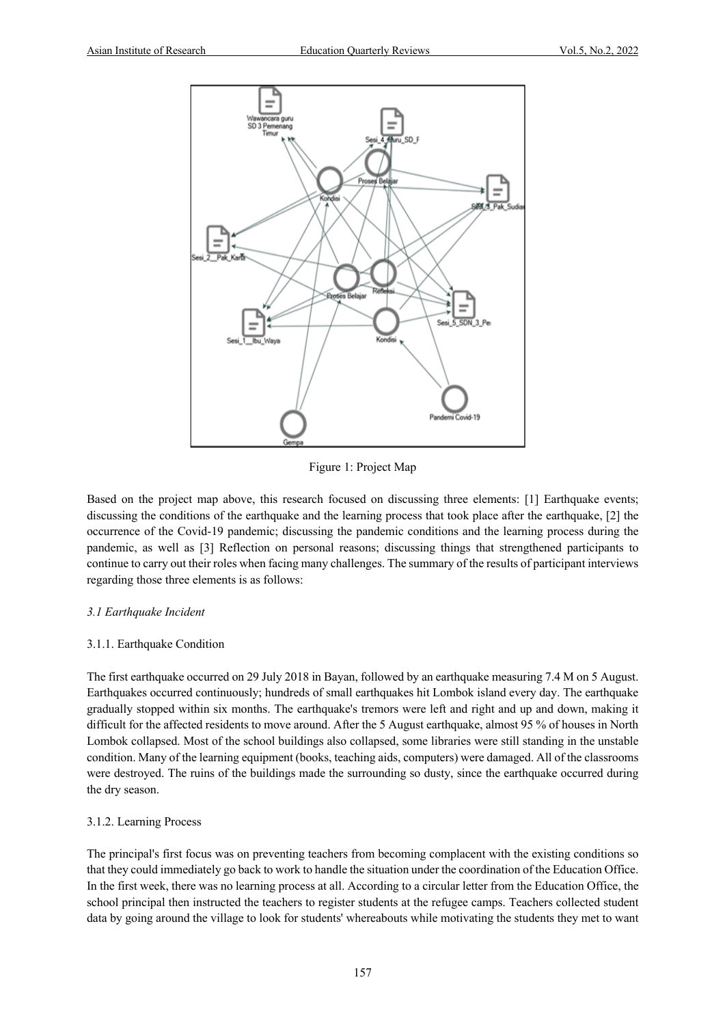

Figure 1: Project Map

Based on the project map above, this research focused on discussing three elements: [1] Earthquake events; discussing the conditions of the earthquake and the learning process that took place after the earthquake, [2] the occurrence of the Covid-19 pandemic; discussing the pandemic conditions and the learning process during the pandemic, as well as [3] Reflection on personal reasons; discussing things that strengthened participants to continue to carry out their roles when facing many challenges. The summary of the results of participant interviews regarding those three elements is as follows:

#### *3.1 Earthquake Incident*

#### 3.1.1. Earthquake Condition

The first earthquake occurred on 29 July 2018 in Bayan, followed by an earthquake measuring 7.4 M on 5 August. Earthquakes occurred continuously; hundreds of small earthquakes hit Lombok island every day. The earthquake gradually stopped within six months. The earthquake's tremors were left and right and up and down, making it difficult for the affected residents to move around. After the 5 August earthquake, almost 95 % of houses in North Lombok collapsed. Most of the school buildings also collapsed, some libraries were still standing in the unstable condition. Many of the learning equipment (books, teaching aids, computers) were damaged. All of the classrooms were destroyed. The ruins of the buildings made the surrounding so dusty, since the earthquake occurred during the dry season.

#### 3.1.2. Learning Process

The principal's first focus was on preventing teachers from becoming complacent with the existing conditions so that they could immediately go back to work to handle the situation under the coordination of the Education Office. In the first week, there was no learning process at all. According to a circular letter from the Education Office, the school principal then instructed the teachers to register students at the refugee camps. Teachers collected student data by going around the village to look for students' whereabouts while motivating the students they met to want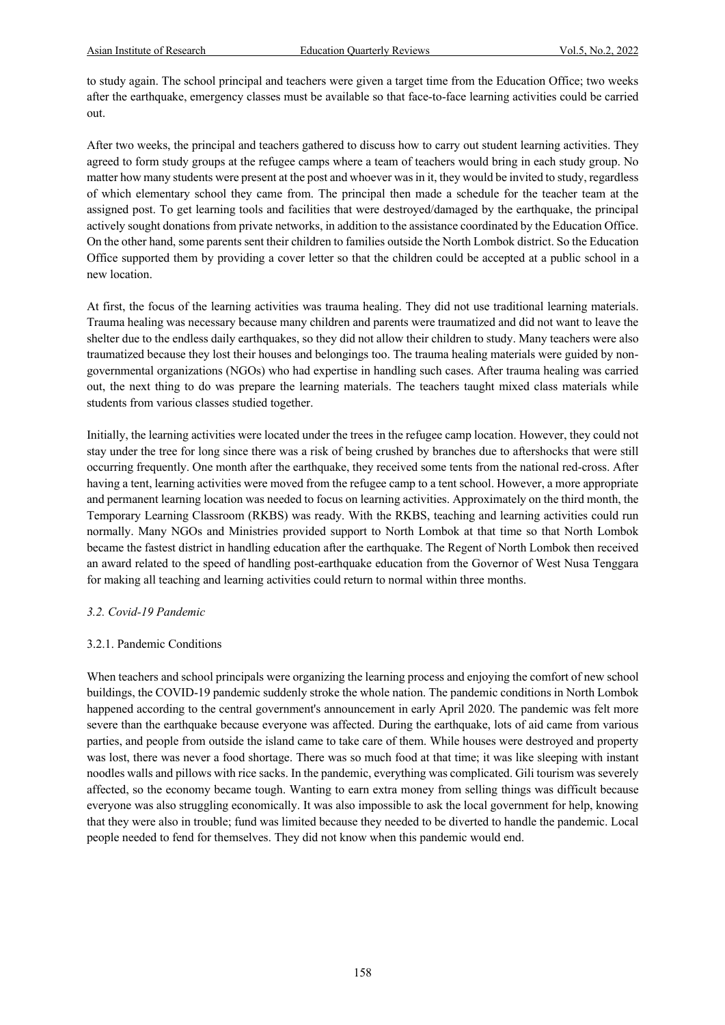to study again. The school principal and teachers were given a target time from the Education Office; two weeks after the earthquake, emergency classes must be available so that face-to-face learning activities could be carried out.

After two weeks, the principal and teachers gathered to discuss how to carry out student learning activities. They agreed to form study groups at the refugee camps where a team of teachers would bring in each study group. No matter how many students were present at the post and whoever was in it, they would be invited to study, regardless of which elementary school they came from. The principal then made a schedule for the teacher team at the assigned post. To get learning tools and facilities that were destroyed/damaged by the earthquake, the principal actively sought donations from private networks, in addition to the assistance coordinated by the Education Office. On the other hand, some parents sent their children to families outside the North Lombok district. So the Education Office supported them by providing a cover letter so that the children could be accepted at a public school in a new location.

At first, the focus of the learning activities was trauma healing. They did not use traditional learning materials. Trauma healing was necessary because many children and parents were traumatized and did not want to leave the shelter due to the endless daily earthquakes, so they did not allow their children to study. Many teachers were also traumatized because they lost their houses and belongings too. The trauma healing materials were guided by nongovernmental organizations (NGOs) who had expertise in handling such cases. After trauma healing was carried out, the next thing to do was prepare the learning materials. The teachers taught mixed class materials while students from various classes studied together.

Initially, the learning activities were located under the trees in the refugee camp location. However, they could not stay under the tree for long since there was a risk of being crushed by branches due to aftershocks that were still occurring frequently. One month after the earthquake, they received some tents from the national red-cross. After having a tent, learning activities were moved from the refugee camp to a tent school. However, a more appropriate and permanent learning location was needed to focus on learning activities. Approximately on the third month, the Temporary Learning Classroom (RKBS) was ready. With the RKBS, teaching and learning activities could run normally. Many NGOs and Ministries provided support to North Lombok at that time so that North Lombok became the fastest district in handling education after the earthquake. The Regent of North Lombok then received an award related to the speed of handling post-earthquake education from the Governor of West Nusa Tenggara for making all teaching and learning activities could return to normal within three months.

#### *3.2. Covid-19 Pandemic*

# 3.2.1. Pandemic Conditions

When teachers and school principals were organizing the learning process and enjoying the comfort of new school buildings, the COVID-19 pandemic suddenly stroke the whole nation. The pandemic conditions in North Lombok happened according to the central government's announcement in early April 2020. The pandemic was felt more severe than the earthquake because everyone was affected. During the earthquake, lots of aid came from various parties, and people from outside the island came to take care of them. While houses were destroyed and property was lost, there was never a food shortage. There was so much food at that time; it was like sleeping with instant noodles walls and pillows with rice sacks. In the pandemic, everything was complicated. Gili tourism was severely affected, so the economy became tough. Wanting to earn extra money from selling things was difficult because everyone was also struggling economically. It was also impossible to ask the local government for help, knowing that they were also in trouble; fund was limited because they needed to be diverted to handle the pandemic. Local people needed to fend for themselves. They did not know when this pandemic would end.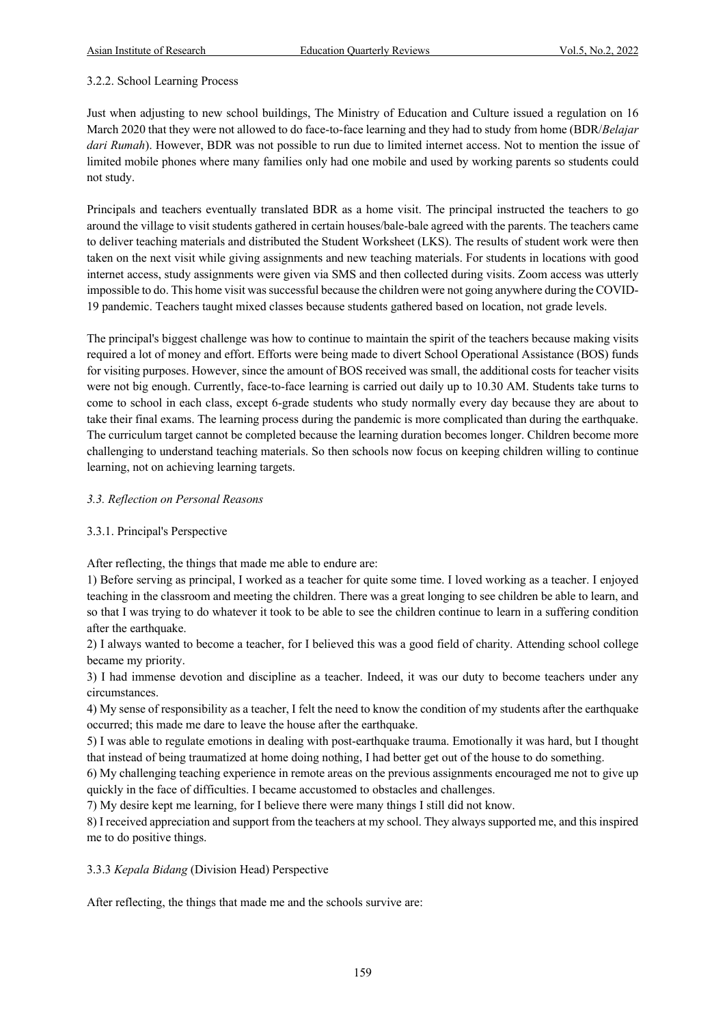### 3.2.2. School Learning Process

Just when adjusting to new school buildings, The Ministry of Education and Culture issued a regulation on 16 March 2020 that they were not allowed to do face-to-face learning and they had to study from home (BDR/*Belajar dari Rumah*). However, BDR was not possible to run due to limited internet access. Not to mention the issue of limited mobile phones where many families only had one mobile and used by working parents so students could not study.

Principals and teachers eventually translated BDR as a home visit. The principal instructed the teachers to go around the village to visit students gathered in certain houses/bale-bale agreed with the parents. The teachers came to deliver teaching materials and distributed the Student Worksheet (LKS). The results of student work were then taken on the next visit while giving assignments and new teaching materials. For students in locations with good internet access, study assignments were given via SMS and then collected during visits. Zoom access was utterly impossible to do. This home visit was successful because the children were not going anywhere during the COVID-19 pandemic. Teachers taught mixed classes because students gathered based on location, not grade levels.

The principal's biggest challenge was how to continue to maintain the spirit of the teachers because making visits required a lot of money and effort. Efforts were being made to divert School Operational Assistance (BOS) funds for visiting purposes. However, since the amount of BOS received was small, the additional costs for teacher visits were not big enough. Currently, face-to-face learning is carried out daily up to 10.30 AM. Students take turns to come to school in each class, except 6-grade students who study normally every day because they are about to take their final exams. The learning process during the pandemic is more complicated than during the earthquake. The curriculum target cannot be completed because the learning duration becomes longer. Children become more challenging to understand teaching materials. So then schools now focus on keeping children willing to continue learning, not on achieving learning targets.

#### *3.3. Reflection on Personal Reasons*

# 3.3.1. Principal's Perspective

After reflecting, the things that made me able to endure are:

1) Before serving as principal, I worked as a teacher for quite some time. I loved working as a teacher. I enjoyed teaching in the classroom and meeting the children. There was a great longing to see children be able to learn, and so that I was trying to do whatever it took to be able to see the children continue to learn in a suffering condition after the earthquake.

2) I always wanted to become a teacher, for I believed this was a good field of charity. Attending school college became my priority.

3) I had immense devotion and discipline as a teacher. Indeed, it was our duty to become teachers under any circumstances.

4) My sense of responsibility as a teacher, I felt the need to know the condition of my students after the earthquake occurred; this made me dare to leave the house after the earthquake.

5) I was able to regulate emotions in dealing with post-earthquake trauma. Emotionally it was hard, but I thought that instead of being traumatized at home doing nothing, I had better get out of the house to do something.

6) My challenging teaching experience in remote areas on the previous assignments encouraged me not to give up quickly in the face of difficulties. I became accustomed to obstacles and challenges.

7) My desire kept me learning, for I believe there were many things I still did not know.

8) I received appreciation and support from the teachers at my school. They always supported me, and this inspired me to do positive things.

#### 3.3.3 *Kepala Bidang* (Division Head) Perspective

After reflecting, the things that made me and the schools survive are: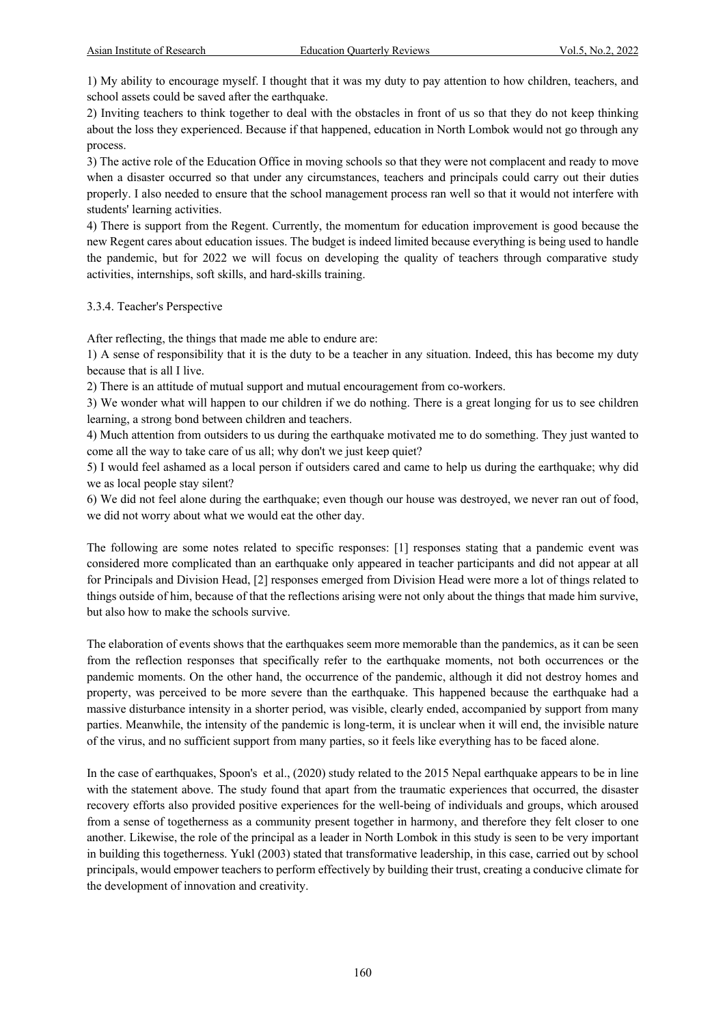1) My ability to encourage myself. I thought that it was my duty to pay attention to how children, teachers, and school assets could be saved after the earthquake.

2) Inviting teachers to think together to deal with the obstacles in front of us so that they do not keep thinking about the loss they experienced. Because if that happened, education in North Lombok would not go through any process.

3) The active role of the Education Office in moving schools so that they were not complacent and ready to move when a disaster occurred so that under any circumstances, teachers and principals could carry out their duties properly. I also needed to ensure that the school management process ran well so that it would not interfere with students' learning activities.

4) There is support from the Regent. Currently, the momentum for education improvement is good because the new Regent cares about education issues. The budget is indeed limited because everything is being used to handle the pandemic, but for 2022 we will focus on developing the quality of teachers through comparative study activities, internships, soft skills, and hard-skills training.

3.3.4. Teacher's Perspective

After reflecting, the things that made me able to endure are:

1) A sense of responsibility that it is the duty to be a teacher in any situation. Indeed, this has become my duty because that is all I live.

2) There is an attitude of mutual support and mutual encouragement from co-workers.

3) We wonder what will happen to our children if we do nothing. There is a great longing for us to see children learning, a strong bond between children and teachers.

4) Much attention from outsiders to us during the earthquake motivated me to do something. They just wanted to come all the way to take care of us all; why don't we just keep quiet?

5) I would feel ashamed as a local person if outsiders cared and came to help us during the earthquake; why did we as local people stay silent?

6) We did not feel alone during the earthquake; even though our house was destroyed, we never ran out of food, we did not worry about what we would eat the other day.

The following are some notes related to specific responses: [1] responses stating that a pandemic event was considered more complicated than an earthquake only appeared in teacher participants and did not appear at all for Principals and Division Head, [2] responses emerged from Division Head were more a lot of things related to things outside of him, because of that the reflections arising were not only about the things that made him survive, but also how to make the schools survive.

The elaboration of events shows that the earthquakes seem more memorable than the pandemics, as it can be seen from the reflection responses that specifically refer to the earthquake moments, not both occurrences or the pandemic moments. On the other hand, the occurrence of the pandemic, although it did not destroy homes and property, was perceived to be more severe than the earthquake. This happened because the earthquake had a massive disturbance intensity in a shorter period, was visible, clearly ended, accompanied by support from many parties. Meanwhile, the intensity of the pandemic is long-term, it is unclear when it will end, the invisible nature of the virus, and no sufficient support from many parties, so it feels like everything has to be faced alone.

In the case of earthquakes, Spoon's et al., (2020) study related to the 2015 Nepal earthquake appears to be in line with the statement above. The study found that apart from the traumatic experiences that occurred, the disaster recovery efforts also provided positive experiences for the well-being of individuals and groups, which aroused from a sense of togetherness as a community present together in harmony, and therefore they felt closer to one another. Likewise, the role of the principal as a leader in North Lombok in this study is seen to be very important in building this togetherness. Yukl (2003) stated that transformative leadership, in this case, carried out by school principals, would empower teachers to perform effectively by building their trust, creating a conducive climate for the development of innovation and creativity.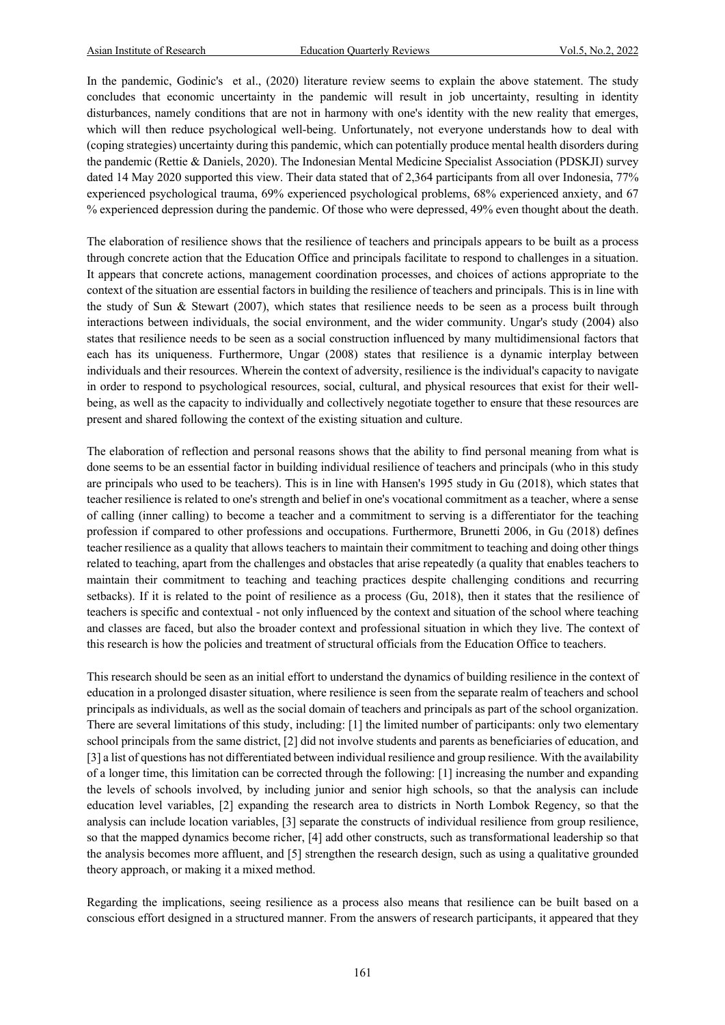In the pandemic, Godinic's et al., (2020) literature review seems to explain the above statement. The study concludes that economic uncertainty in the pandemic will result in job uncertainty, resulting in identity disturbances, namely conditions that are not in harmony with one's identity with the new reality that emerges, which will then reduce psychological well-being. Unfortunately, not everyone understands how to deal with (coping strategies) uncertainty during this pandemic, which can potentially produce mental health disorders during the pandemic (Rettie & Daniels, 2020). The Indonesian Mental Medicine Specialist Association (PDSKJI) survey dated 14 May 2020 supported this view. Their data stated that of 2,364 participants from all over Indonesia, 77% experienced psychological trauma, 69% experienced psychological problems, 68% experienced anxiety, and 67 % experienced depression during the pandemic. Of those who were depressed, 49% even thought about the death.

The elaboration of resilience shows that the resilience of teachers and principals appears to be built as a process through concrete action that the Education Office and principals facilitate to respond to challenges in a situation. It appears that concrete actions, management coordination processes, and choices of actions appropriate to the context of the situation are essential factors in building the resilience of teachers and principals. This is in line with the study of Sun & Stewart (2007), which states that resilience needs to be seen as a process built through interactions between individuals, the social environment, and the wider community. Ungar's study (2004) also states that resilience needs to be seen as a social construction influenced by many multidimensional factors that each has its uniqueness. Furthermore, Ungar (2008) states that resilience is a dynamic interplay between individuals and their resources. Wherein the context of adversity, resilience is the individual's capacity to navigate in order to respond to psychological resources, social, cultural, and physical resources that exist for their wellbeing, as well as the capacity to individually and collectively negotiate together to ensure that these resources are present and shared following the context of the existing situation and culture.

The elaboration of reflection and personal reasons shows that the ability to find personal meaning from what is done seems to be an essential factor in building individual resilience of teachers and principals (who in this study are principals who used to be teachers). This is in line with Hansen's 1995 study in Gu (2018), which states that teacher resilience is related to one's strength and belief in one's vocational commitment as a teacher, where a sense of calling (inner calling) to become a teacher and a commitment to serving is a differentiator for the teaching profession if compared to other professions and occupations. Furthermore, Brunetti 2006, in Gu (2018) defines teacher resilience as a quality that allows teachers to maintain their commitment to teaching and doing other things related to teaching, apart from the challenges and obstacles that arise repeatedly (a quality that enables teachers to maintain their commitment to teaching and teaching practices despite challenging conditions and recurring setbacks). If it is related to the point of resilience as a process (Gu, 2018), then it states that the resilience of teachers is specific and contextual - not only influenced by the context and situation of the school where teaching and classes are faced, but also the broader context and professional situation in which they live. The context of this research is how the policies and treatment of structural officials from the Education Office to teachers.

This research should be seen as an initial effort to understand the dynamics of building resilience in the context of education in a prolonged disaster situation, where resilience is seen from the separate realm of teachers and school principals as individuals, as well as the social domain of teachers and principals as part of the school organization. There are several limitations of this study, including: [1] the limited number of participants: only two elementary school principals from the same district, [2] did not involve students and parents as beneficiaries of education, and [3] a list of questions has not differentiated between individual resilience and group resilience. With the availability of a longer time, this limitation can be corrected through the following: [1] increasing the number and expanding the levels of schools involved, by including junior and senior high schools, so that the analysis can include education level variables, [2] expanding the research area to districts in North Lombok Regency, so that the analysis can include location variables, [3] separate the constructs of individual resilience from group resilience, so that the mapped dynamics become richer, [4] add other constructs, such as transformational leadership so that the analysis becomes more affluent, and [5] strengthen the research design, such as using a qualitative grounded theory approach, or making it a mixed method.

Regarding the implications, seeing resilience as a process also means that resilience can be built based on a conscious effort designed in a structured manner. From the answers of research participants, it appeared that they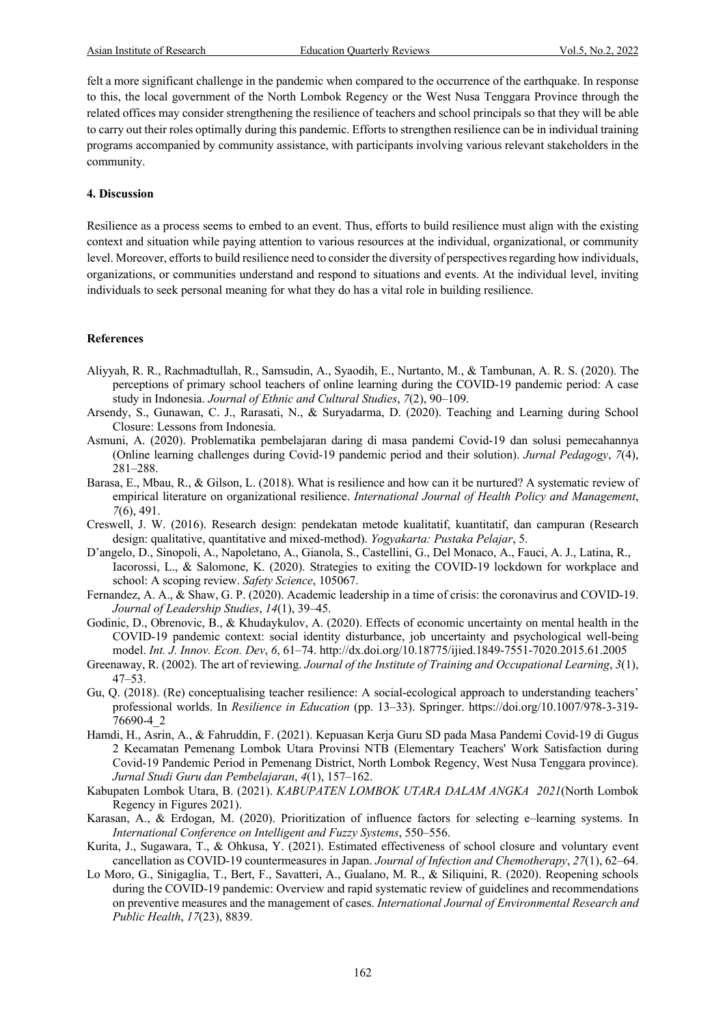felt a more significant challenge in the pandemic when compared to the occurrence of the earthquake. In response to this, the local government of the North Lombok Regency or the West Nusa Tenggara Province through the related offices may consider strengthening the resilience of teachers and school principals so that they will be able to carry out their roles optimally during this pandemic. Efforts to strengthen resilience can be in individual training programs accompanied by community assistance, with participants involving various relevant stakeholders in the community.

#### **4. Discussion**

Resilience as a process seems to embed to an event. Thus, efforts to build resilience must align with the existing context and situation while paying attention to various resources at the individual, organizational, or community level. Moreover, efforts to build resilience need to consider the diversity of perspectives regarding how individuals, organizations, or communities understand and respond to situations and events. At the individual level, inviting individuals to seek personal meaning for what they do has a vital role in building resilience.

#### **References**

- Aliyyah, R. R., Rachmadtullah, R., Samsudin, A., Syaodih, E., Nurtanto, M., & Tambunan, A. R. S. (2020). The perceptions of primary school teachers of online learning during the COVID-19 pandemic period: A case study in Indonesia. *Journal of Ethnic and Cultural Studies*, *7*(2), 90–109.
- Arsendy, S., Gunawan, C. J., Rarasati, N., & Suryadarma, D. (2020). Teaching and Learning during School Closure: Lessons from Indonesia.
- Asmuni, A. (2020). Problematika pembelajaran daring di masa pandemi Covid-19 dan solusi pemecahannya (Online learning challenges during Covid-19 pandemic period and their solution). *Jurnal Pedagogy*, *7*(4), 281–288.
- Barasa, E., Mbau, R., & Gilson, L. (2018). What is resilience and how can it be nurtured? A systematic review of empirical literature on organizational resilience. *International Journal of Health Policy and Management*, *7*(6), 491.
- Creswell, J. W. (2016). Research design: pendekatan metode kualitatif, kuantitatif, dan campuran (Research design: qualitative, quantitative and mixed-method). *Yogyakarta: Pustaka Pelajar*, 5.
- D'angelo, D., Sinopoli, A., Napoletano, A., Gianola, S., Castellini, G., Del Monaco, A., Fauci, A. J., Latina, R., Iacorossi, L., & Salomone, K. (2020). Strategies to exiting the COVID-19 lockdown for workplace and school: A scoping review. *Safety Science*, 105067.
- Fernandez, A. A., & Shaw, G. P. (2020). Academic leadership in a time of crisis: the coronavirus and COVID‐19. *Journal of Leadership Studies*, *14*(1), 39–45.
- Godinic, D., Obrenovic, B., & Khudaykulov, A. (2020). Effects of economic uncertainty on mental health in the COVID-19 pandemic context: social identity disturbance, job uncertainty and psychological well-being model. *Int. J. Innov. Econ. Dev*, *6*, 61–74. http://dx.doi.org/10.18775/ijied.1849-7551-7020.2015.61.2005
- Greenaway, R. (2002). The art of reviewing. *Journal of the Institute of Training and Occupational Learning*, *3*(1), 47–53.
- Gu, Q. (2018). (Re) conceptualising teacher resilience: A social-ecological approach to understanding teachers' professional worlds. In *Resilience in Education* (pp. 13–33). Springer. https://doi.org/10.1007/978-3-319- 76690-4\_2
- Hamdi, H., Asrin, A., & Fahruddin, F. (2021). Kepuasan Kerja Guru SD pada Masa Pandemi Covid-19 di Gugus 2 Kecamatan Pemenang Lombok Utara Provinsi NTB (Elementary Teachers' Work Satisfaction during Covid-19 Pandemic Period in Pemenang District, North Lombok Regency, West Nusa Tenggara province). *Jurnal Studi Guru dan Pembelajaran*, *4*(1), 157–162.
- Kabupaten Lombok Utara, B. (2021). *KABUPATEN LOMBOK UTARA DALAM ANGKA 2021*(North Lombok Regency in Figures 2021).
- Karasan, A., & Erdogan, M. (2020). Prioritization of influence factors for selecting e–learning systems. In *International Conference on Intelligent and Fuzzy Systems*, 550–556.
- Kurita, J., Sugawara, T., & Ohkusa, Y. (2021). Estimated effectiveness of school closure and voluntary event cancellation as COVID-19 countermeasures in Japan. *Journal of Infection and Chemotherapy*, *27*(1), 62–64.
- Lo Moro, G., Sinigaglia, T., Bert, F., Savatteri, A., Gualano, M. R., & Siliquini, R. (2020). Reopening schools during the COVID-19 pandemic: Overview and rapid systematic review of guidelines and recommendations on preventive measures and the management of cases. *International Journal of Environmental Research and Public Health*, *17*(23), 8839.